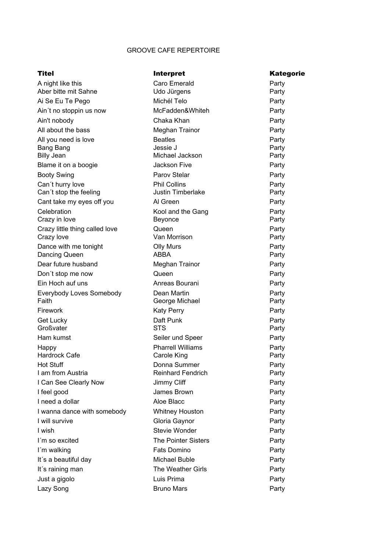## GROOVE CAFE REPERTOIRE

| Titel                                      | <b>Interpret</b>                                | <b>Kategorie</b> |
|--------------------------------------------|-------------------------------------------------|------------------|
| A night like this                          | Caro Emerald                                    | Party            |
| Aber bitte mit Sahne                       | Udo Jürgens                                     | Party            |
| Ai Se Eu Te Pego                           | Michél Telo                                     | Party            |
| Ain't no stoppin us now                    | McFadden&Whiteh                                 | Party            |
| Ain't nobody                               | Chaka Khan                                      | Party            |
| All about the bass                         | Meghan Trainor                                  | Party            |
| All you need is love                       | <b>Beatles</b>                                  | Party            |
| Bang Bang                                  | Jessie J                                        | Party            |
| <b>Billy Jean</b>                          | Michael Jackson                                 | Party            |
| Blame it on a boogie                       | <b>Jackson Five</b>                             | Party            |
| <b>Booty Swing</b>                         | Parov Stelar                                    | Party            |
| Can't hurry love<br>Can't stop the feeling | <b>Phil Collins</b><br><b>Justin Timberlake</b> | Party<br>Party   |
| Cant take my eyes off you                  | Al Green                                        | Party            |
| Celebration                                | Kool and the Gang                               | Party            |
| Crazy in love                              | Beyonce                                         | Party            |
| Crazy little thing called love             | Queen                                           | Party            |
| Crazy love                                 | Van Morrison                                    | Party            |
| Dance with me tonight                      | <b>Olly Murs</b>                                | Party            |
| Dancing Queen                              | <b>ABBA</b>                                     | Party            |
| Dear future husband                        | Meghan Trainor                                  | Party            |
| Don't stop me now                          | Queen                                           | Party            |
| Ein Hoch auf uns                           | Anreas Bourani                                  | Party            |
| Everybody Loves Somebody                   | Dean Martin                                     | Party            |
| Faith                                      | George Michael                                  | Party            |
| Firework                                   | <b>Katy Perry</b>                               | Party            |
| Get Lucky                                  | Daft Punk                                       | Party            |
| Großvater                                  | <b>STS</b>                                      | Party            |
| Ham kumst                                  | Seiler und Speer                                | Party            |
| Happy<br><b>Hardrock Cafe</b>              | <b>Pharrell Williams</b>                        | Party            |
| Hot Stuff                                  | Carole King<br>Donna Summer                     | Party<br>Party   |
| I am from Austria                          | <b>Reinhard Fendrich</b>                        | Party            |
| I Can See Clearly Now                      | Jimmy Cliff                                     | Party            |
| I feel good                                | James Brown                                     | Party            |
| I need a dollar                            | Aloe Blacc                                      | Party            |
| I wanna dance with somebody                | <b>Whitney Houston</b>                          | Party            |
| I will survive                             | Gloria Gaynor                                   | Party            |
| I wish                                     | Stevie Wonder                                   | Party            |
| I'm so excited                             | <b>The Pointer Sisters</b>                      | Party            |
| I'm walking                                | Fats Domino                                     | Party            |
| It's a beautiful day                       | Michael Buble                                   | Party            |
| It's raining man                           | The Weather Girls                               | Party            |
| Just a gigolo                              | Luis Prima                                      | Party            |
| Lazy Song                                  | <b>Bruno Mars</b>                               | Party            |
|                                            |                                                 |                  |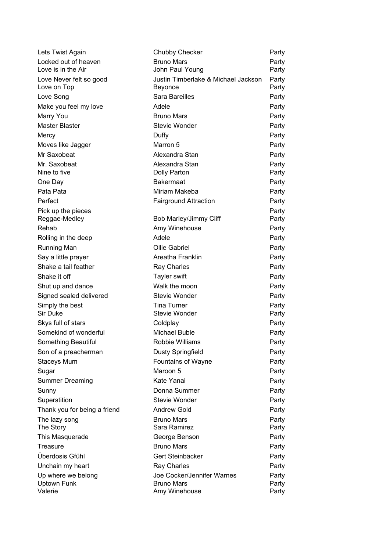| Lets Twist Again                       | Chubby Checker                                 | Party          |
|----------------------------------------|------------------------------------------------|----------------|
| Locked out of heaven                   | <b>Bruno Mars</b>                              | Party          |
| Love is in the Air                     | John Paul Young                                | Party          |
| Love Never felt so good<br>Love on Top | Justin Timberlake & Michael Jackson<br>Beyonce | Party<br>Party |
| Love Song                              | <b>Sara Bareilles</b>                          | Party          |
| Make you feel my love                  | Adele                                          | Party          |
| Marry You                              | <b>Bruno Mars</b>                              | Party          |
| Master Blaster                         | <b>Stevie Wonder</b>                           | Party          |
| Mercy                                  | Duffy                                          | Party          |
| Moves like Jagger                      | Marron 5                                       | Party          |
| Mr Saxobeat                            | Alexandra Stan                                 | Party          |
| Mr. Saxobeat                           | Alexandra Stan                                 | Party          |
| Nine to five                           | Dolly Parton                                   | Party          |
| One Day                                | <b>Bakermaat</b>                               | Party          |
| Pata Pata                              | Miriam Makeba                                  | Party          |
| Perfect                                | <b>Fairground Attraction</b>                   | Party          |
| Pick up the pieces                     |                                                | Party          |
| Reggae-Medley                          | Bob Marley/Jimmy Cliff                         | Party          |
| Rehab                                  | Amy Winehouse                                  | Party          |
| Rolling in the deep                    | Adele                                          | Party          |
| Running Man                            | <b>Ollie Gabriel</b>                           | Party          |
| Say a little prayer                    | Areatha Franklin                               | Party          |
| Shake a tail feather                   | Ray Charles                                    | Party          |
| Shake it off                           | Tayler swift                                   | Party          |
| Shut up and dance                      | Walk the moon                                  | Party          |
| Signed sealed delivered                | <b>Stevie Wonder</b>                           | Party          |
| Simply the best<br><b>Sir Duke</b>     | <b>Tina Turner</b><br><b>Stevie Wonder</b>     | Party<br>Party |
| Skys full of stars                     | Coldplay                                       | Party          |
| Somekind of wonderful                  | <b>Michael Buble</b>                           | Party          |
| Something Beautiful                    | Robbie Williams                                | Party          |
| Son of a preacherman                   | <b>Dusty Springfield</b>                       | Party          |
| <b>Staceys Mum</b>                     | <b>Fountains of Wayne</b>                      | Party          |
| Sugar                                  | Maroon 5                                       | Party          |
| <b>Summer Dreaming</b>                 | Kate Yanai                                     | Party          |
| Sunny                                  | Donna Summer                                   | Party          |
| Superstition                           | Stevie Wonder                                  | Party          |
| Thank you for being a friend           | <b>Andrew Gold</b>                             | Party          |
| The lazy song                          | <b>Bruno Mars</b>                              | Party          |
| The Story                              | Sara Ramirez                                   | Party          |
| This Masquerade                        | George Benson                                  | Party          |
| Treasure                               | <b>Bruno Mars</b>                              | Party          |
| Überdosis Gfühl                        | Gert Steinbäcker                               | Party          |
| Unchain my heart                       | Ray Charles                                    | Party          |
| Up where we belong                     | Joe Cocker/Jennifer Warnes                     | Party          |
| Uptown Funk<br>Valerie                 | <b>Bruno Mars</b><br>Amy Winehouse             | Party<br>Party |
|                                        |                                                |                |